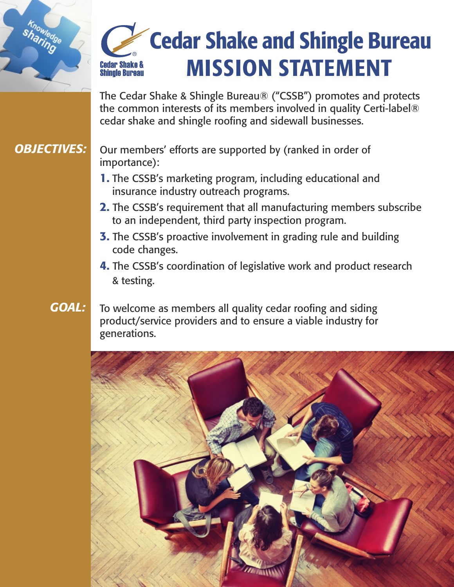# Cedar Shake and Shingle Bureau MISSION STATEMENT**Cedar Shake & Shingle Bureau**

The Cedar Shake & Shingle Bureau® ("CSSB") promotes and protects the common interests of its members involved in quality Certi-label® cedar shake and shingle roofing and sidewall businesses.

# *OBJECTIVES:*

sharinge

Our members' efforts are supported by (ranked in order of importance):

- 1. The CSSB's marketing program, including educational and insurance industry outreach programs.
- 2. The CSSB's requirement that all manufacturing members subscribe to an independent, third party inspection program.
- **3.** The CSSB's proactive involvement in grading rule and building code changes.
- 4. The CSSB's coordination of legislative work and product research & testing.

# *GOAL:*

To welcome as members all quality cedar roofing and siding product/service providers and to ensure a viable industry for generations.